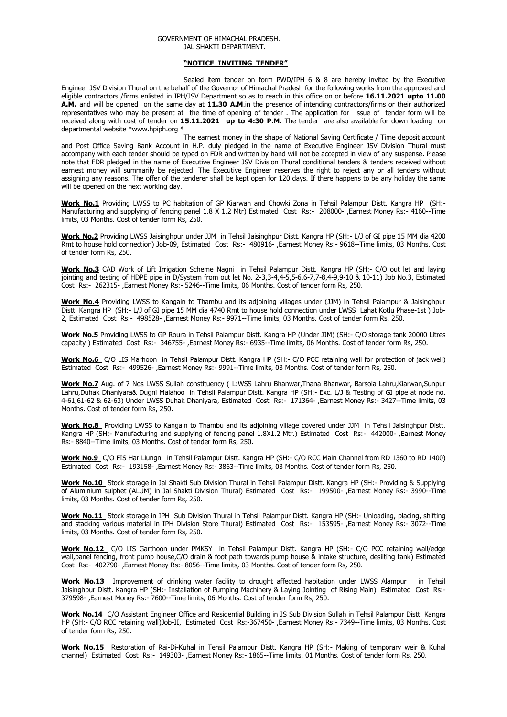## GOVERNMENT OF HIMACHAL PRADESH. JAL SHAKTI DEPARTMENT.

## **"NOTICE INVITING TENDER"**

Sealed item tender on form PWD/IPH 6 & 8 are hereby invited by the Executive Engineer JSV Division Thural on the behalf of the Governor of Himachal Pradesh for the following works from the approved and eligible contractors /firms enlisted in IPH/JSV Department so as to reach in this office on or before **16.11.2021 upto 11.00 A.M.** and will be opened on the same day at **11.30 A.M**.in the presence of intending contractors/firms or their authorized representatives who may be present at the time of opening of tender . The application for issue of tender form will be received along with cost of tender on **15.11.2021 up to 4:30 P.M.** The tender are also available for down loading on departmental website \*www.hpiph.org \*

The earnest money in the shape of National Saving Certificate / Time deposit account and Post Office Saving Bank Account in H.P. duly pledged in the name of Executive Engineer JSV Division Thural must accompany with each tender should be typed on FDR and written by hand will not be accepted in view of any suspense. Please note that FDR pledged in the name of Executive Engineer JSV Division Thural conditional tenders & tenders received without earnest money will summarily be rejected. The Executive Engineer reserves the right to reject any or all tenders without assigning any reasons. The offer of the tenderer shall be kept open for 120 days. If there happens to be any holiday the same will be opened on the next working day.

**Work No.1** Providing LWSS to PC habitation of GP Kiarwan and Chowki Zona in Tehsil Palampur Distt. Kangra HP (SH:- Manufacturing and supplying of fencing panel 1.8 X 1.2 Mtr) Estimated Cost Rs:- 208000-, Earnest Money Rs:- 4160--Time limits, 03 Months. Cost of tender form Rs, 250.

**Work No.2** Providing LWSS Jaisinghpur under JJM in Tehsil Jaisinghpur Distt. Kangra HP (SH:- L/J of GI pipe 15 MM dia 4200 Rmt to house hold connection) Job-09, Estimated Cost Rs:- 480916- ,Earnest Money Rs:- 9618--Time limits, 03 Months. Cost of tender form Rs, 250.

**Work No.3** CAD Work of Lift Irrigation Scheme Nagni in Tehsil Palampur Distt. Kangra HP (SH:- C/O out let and laying jointing and testing of HDPE pipe in D/System from out let No. 2-3,3-4,4-5,5-6,6-7,7-8,4-9,9-10 & 10-11) Job No.3, Estimated Cost Rs:- 262315- ,Earnest Money Rs:- 5246--Time limits, 06 Months. Cost of tender form Rs, 250.

**Work No.4** Providing LWSS to Kangain to Thambu and its adjoining villages under (JJM) in Tehsil Palampur & Jaisinghpur Distt. Kangra HP (SH:- L/J of GI pipe 15 MM dia 4740 Rmt to house hold connection under LWSS Lahat Kotlu Phase-1st ) Job-2, Estimated Cost Rs:- 498528- ,Earnest Money Rs:- 9971--Time limits, 03 Months. Cost of tender form Rs, 250.

**Work No.5** Providing LWSS to GP Roura in Tehsil Palampur Distt. Kangra HP (Under JJM) (SH:- C/O storage tank 20000 Litres capacity ) Estimated Cost Rs:- 346755- ,Earnest Money Rs:- 6935--Time limits, 06 Months. Cost of tender form Rs, 250.

**Work No.6** C/O LIS Marhoon in Tehsil Palampur Distt. Kangra HP (SH:- C/O PCC retaining wall for protection of jack well) Estimated Cost Rs:- 499526- ,Earnest Money Rs:- 9991--Time limits, 03 Months. Cost of tender form Rs, 250.

**Work No.7** Aug. of 7 Nos LWSS Sullah constituency ( L:WSS Lahru Bhanwar,Thana Bhanwar, Barsola Lahru,Kiarwan,Sunpur Lahru,Duhak Dhaniyara& Dugni Malahoo in Tehsil Palampur Distt. Kangra HP (SH:- Exc. L/J & Testing of GI pipe at node no. 4-61,61-62 & 62-63) Under LWSS Duhak Dhaniyara, Estimated Cost Rs:- 171364- ,Earnest Money Rs:- 3427--Time limits, 03 Months. Cost of tender form Rs, 250.

**Work No.8** Providing LWSS to Kangain to Thambu and its adjoining village covered under JJM in Tehsil Jaisinghpur Distt. Kangra HP (SH:- Manufacturing and supplying of fencing panel 1.8X1.2 Mtr.) Estimated Cost Rs:- 442000- ,Earnest Money Rs:- 8840--Time limits, 03 Months. Cost of tender form Rs, 250.

**Work No.9** C/O FIS Har Liungni in Tehsil Palampur Distt. Kangra HP (SH:- C/O RCC Main Channel from RD 1360 to RD 1400) Estimated Cost Rs:- 193158- ,Earnest Money Rs:- 3863--Time limits, 03 Months. Cost of tender form Rs, 250.

**Work No.10** Stock storage in Jal Shakti Sub Division Thural in Tehsil Palampur Distt. Kangra HP (SH:- Providing & Supplying of Aluminium sulphet (ALUM) in Jal Shakti Division Thural) Estimated Cost Rs:- 199500- ,Earnest Money Rs:- 3990--Time limits, 03 Months. Cost of tender form Rs, 250.

**Work No.11** Stock storage in IPH Sub Division Thural in Tehsil Palampur Distt. Kangra HP (SH:- Unloading, placing, shifting and stacking various material in IPH Division Store Thural) Estimated Cost Rs:- 153595- ,Earnest Money Rs:- 3072--Time limits, 03 Months. Cost of tender form Rs, 250.

**Work No.12** C/O LIS Garthoon under PMKSY in Tehsil Palampur Distt. Kangra HP (SH:- C/O PCC retaining wall/edge wall,panel fencing, front pump house,C/O drain & foot path towards pump house & intake structure, desilting tank) Estimated Cost Rs:- 402790- ,Earnest Money Rs:- 8056--Time limits, 03 Months. Cost of tender form Rs, 250.

**Work No.13** Improvement of drinking water facility to drought affected habitation under LWSS Alampur in Tehsil Jaisinghpur Distt. Kangra HP (SH:- Installation of Pumping Machinery & Laying Jointing of Rising Main) Estimated Cost Rs:- 379598- ,Earnest Money Rs:- 7600--Time limits, 06 Months. Cost of tender form Rs, 250.

**Work No.14** C/O Assistant Engineer Office and Residential Building in JS Sub Division Sullah in Tehsil Palampur Distt. Kangra HP (SH:- C/O RCC retaining wall)Job-II, Estimated Cost Rs:-367450- ,Earnest Money Rs:- 7349--Time limits, 03 Months. Cost of tender form Rs, 250.

**Work No.15** Restoration of Rai-Di-Kuhal in Tehsil Palampur Distt. Kangra HP (SH:- Making of temporary weir & Kuhal channel) Estimated Cost Rs:- 149303- ,Earnest Money Rs:- 1865--Time limits, 01 Months. Cost of tender form Rs, 250.